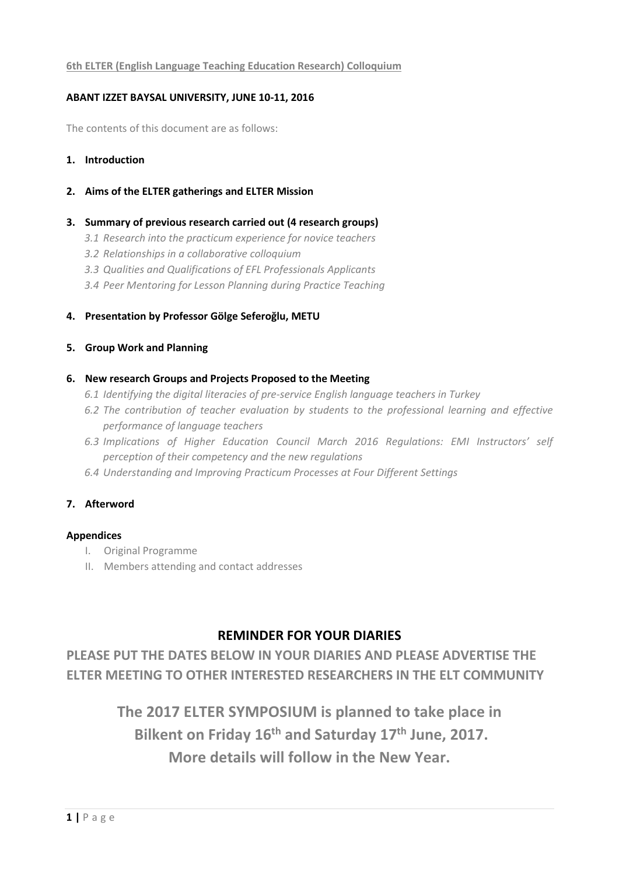#### **6th ELTER (English Language Teaching Education Research) Colloquium**

#### **ABANT IZZET BAYSAL UNIVERSITY, JUNE 10-11, 2016**

The contents of this document are as follows:

- **1. Introduction**
- **2. Aims of the ELTER gatherings and ELTER Mission**

#### **3. Summary of previous research carried out (4 research groups)**

- *3.1 Research into the practicum experience for novice teachers*
- *3.2 Relationships in a collaborative colloquium*
- *3.3 Qualities and Qualifications of EFL Professionals Applicants*
- *3.4 Peer Mentoring for Lesson Planning during Practice Teaching*
- **4. Presentation by Professor Gölge Seferoğlu, METU**

#### **5. Group Work and Planning**

#### **6. New research Groups and Projects Proposed to the Meeting**

- *6.1 Identifying the digital literacies of pre-service English language teachers in Turkey*
- *6.2 The contribution of teacher evaluation by students to the professional learning and effective performance of language teachers*
- *6.3 Implications of Higher Education Council March 2016 Regulations: EMI Instructors' self perception of their competency and the new regulations*
- *6.4 Understanding and Improving Practicum Processes at Four Different Settings*

### **7. Afterword**

#### **Appendices**

- I. Original Programme
- II. Members attending and contact addresses

# **REMINDER FOR YOUR DIARIES**

**PLEASE PUT THE DATES BELOW IN YOUR DIARIES AND PLEASE ADVERTISE THE ELTER MEETING TO OTHER INTERESTED RESEARCHERS IN THE ELT COMMUNITY**

> **The 2017 ELTER SYMPOSIUM is planned to take place in Bilkent on Friday 16th and Saturday 17th June, 2017. More details will follow in the New Year.**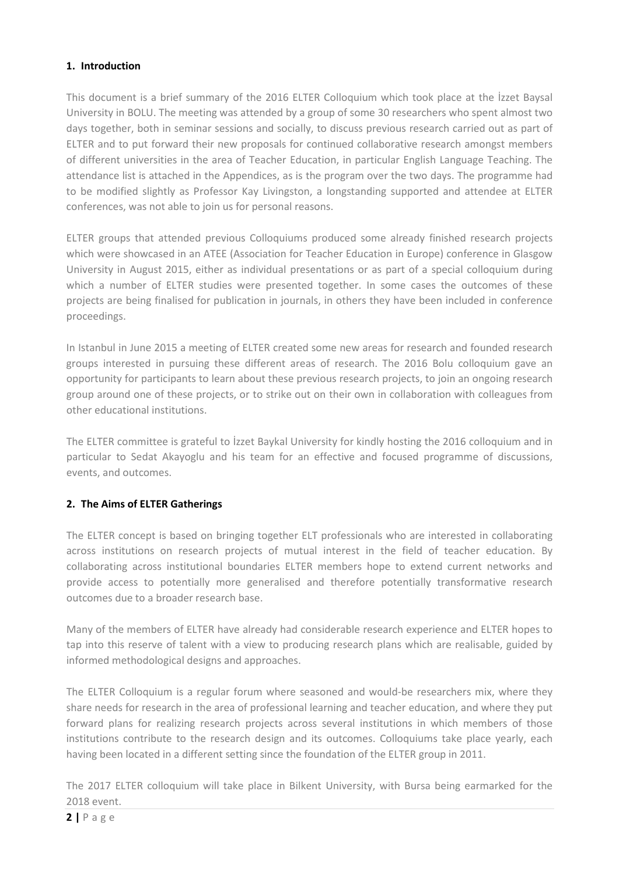### **1. Introduction**

This document is a brief summary of the 2016 ELTER Colloquium which took place at the İzzet Baysal University in BOLU. The meeting was attended by a group of some 30 researchers who spent almost two days together, both in seminar sessions and socially, to discuss previous research carried out as part of ELTER and to put forward their new proposals for continued collaborative research amongst members of different universities in the area of Teacher Education, in particular English Language Teaching. The attendance list is attached in the Appendices, as is the program over the two days. The programme had to be modified slightly as Professor Kay Livingston, a longstanding supported and attendee at ELTER conferences, was not able to join us for personal reasons.

ELTER groups that attended previous Colloquiums produced some already finished research projects which were showcased in an ATEE (Association for Teacher Education in Europe) conference in Glasgow University in August 2015, either as individual presentations or as part of a special colloquium during which a number of ELTER studies were presented together. In some cases the outcomes of these projects are being finalised for publication in journals, in others they have been included in conference proceedings.

In Istanbul in June 2015 a meeting of ELTER created some new areas for research and founded research groups interested in pursuing these different areas of research. The 2016 Bolu colloquium gave an opportunity for participants to learn about these previous research projects, to join an ongoing research group around one of these projects, or to strike out on their own in collaboration with colleagues from other educational institutions.

The ELTER committee is grateful to İzzet Baykal University for kindly hosting the 2016 colloquium and in particular to Sedat Akayoglu and his team for an effective and focused programme of discussions, events, and outcomes.

# **2. The Aims of ELTER Gatherings**

The ELTER concept is based on bringing together ELT professionals who are interested in collaborating across institutions on research projects of mutual interest in the field of teacher education. By collaborating across institutional boundaries ELTER members hope to extend current networks and provide access to potentially more generalised and therefore potentially transformative research outcomes due to a broader research base.

Many of the members of ELTER have already had considerable research experience and ELTER hopes to tap into this reserve of talent with a view to producing research plans which are realisable, guided by informed methodological designs and approaches.

The ELTER Colloquium is a regular forum where seasoned and would-be researchers mix, where they share needs for research in the area of professional learning and teacher education, and where they put forward plans for realizing research projects across several institutions in which members of those institutions contribute to the research design and its outcomes. Colloquiums take place yearly, each having been located in a different setting since the foundation of the ELTER group in 2011.

The 2017 ELTER colloquium will take place in Bilkent University, with Bursa being earmarked for the 2018 event.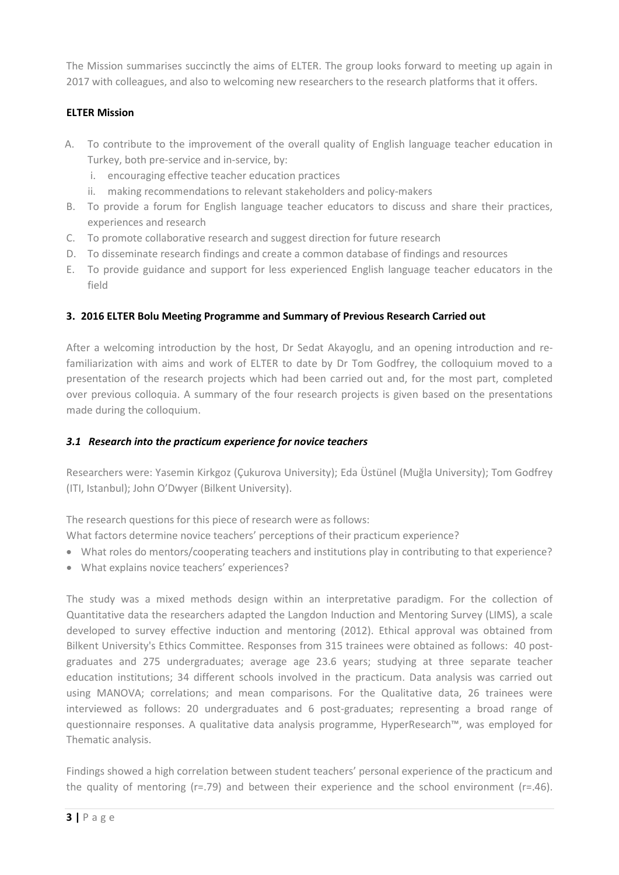The Mission summarises succinctly the aims of ELTER. The group looks forward to meeting up again in 2017 with colleagues, and also to welcoming new researchers to the research platforms that it offers.

### **ELTER Mission**

- A. To contribute to the improvement of the overall quality of English language teacher education in Turkey, both pre-service and in-service, by:
	- i. encouraging effective teacher education practices
	- ii. making recommendations to relevant stakeholders and policy-makers
- B. To provide a forum for English language teacher educators to discuss and share their practices, experiences and research
- C. To promote collaborative research and suggest direction for future research
- D. To disseminate research findings and create a common database of findings and resources
- E. To provide guidance and support for less experienced English language teacher educators in the field

### **3. 2016 ELTER Bolu Meeting Programme and Summary of Previous Research Carried out**

After a welcoming introduction by the host, Dr Sedat Akayoglu, and an opening introduction and refamiliarization with aims and work of ELTER to date by Dr Tom Godfrey, the colloquium moved to a presentation of the research projects which had been carried out and, for the most part, completed over previous colloquia. A summary of the four research projects is given based on the presentations made during the colloquium.

### *3.1 Research into the practicum experience for novice teachers*

Researchers were: Yasemin Kirkgoz (Çukurova University); Eda Üstünel (Muğla University); Tom Godfrey (ITI, Istanbul); John O'Dwyer (Bilkent University).

The research questions for this piece of research were as follows:

What factors determine novice teachers' perceptions of their practicum experience?

- What roles do mentors/cooperating teachers and institutions play in contributing to that experience?
- What explains novice teachers' experiences?

The study was a mixed methods design within an interpretative paradigm. For the collection of Quantitative data the researchers adapted the Langdon Induction and Mentoring Survey (LIMS), a scale developed to survey effective induction and mentoring (2012). Ethical approval was obtained from Bilkent University's Ethics Committee. Responses from 315 trainees were obtained as follows: 40 postgraduates and 275 undergraduates; average age 23.6 years; studying at three separate teacher education institutions; 34 different schools involved in the practicum. Data analysis was carried out using MANOVA; correlations; and mean comparisons. For the Qualitative data, 26 trainees were interviewed as follows: 20 undergraduates and 6 post-graduates; representing a broad range of questionnaire responses. A qualitative data analysis programme, HyperResearch™, was employed for Thematic analysis.

Findings showed a high correlation between student teachers' personal experience of the practicum and the quality of mentoring ( $r=79$ ) and between their experience and the school environment ( $r=746$ ).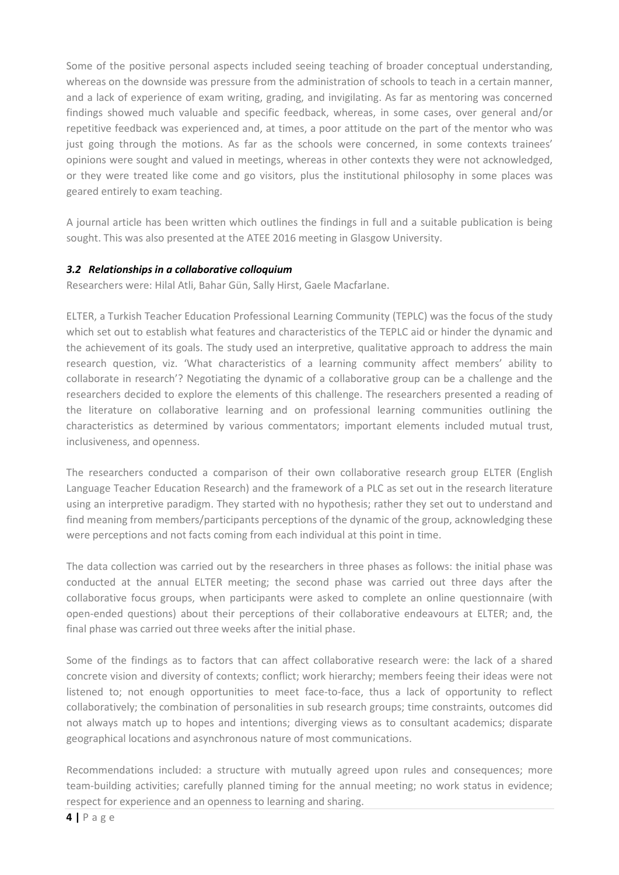Some of the positive personal aspects included seeing teaching of broader conceptual understanding, whereas on the downside was pressure from the administration of schools to teach in a certain manner, and a lack of experience of exam writing, grading, and invigilating. As far as mentoring was concerned findings showed much valuable and specific feedback, whereas, in some cases, over general and/or repetitive feedback was experienced and, at times, a poor attitude on the part of the mentor who was just going through the motions. As far as the schools were concerned, in some contexts trainees' opinions were sought and valued in meetings, whereas in other contexts they were not acknowledged, or they were treated like come and go visitors, plus the institutional philosophy in some places was geared entirely to exam teaching.

A journal article has been written which outlines the findings in full and a suitable publication is being sought. This was also presented at the ATEE 2016 meeting in Glasgow University.

# *3.2 Relationships in a collaborative colloquium*

Researchers were: Hilal Atli, Bahar Gün, Sally Hirst, Gaele Macfarlane.

ELTER, a Turkish Teacher Education Professional Learning Community (TEPLC) was the focus of the study which set out to establish what features and characteristics of the TEPLC aid or hinder the dynamic and the achievement of its goals. The study used an interpretive, qualitative approach to address the main research question, viz. 'What characteristics of a learning community affect members' ability to collaborate in research'? Negotiating the dynamic of a collaborative group can be a challenge and the researchers decided to explore the elements of this challenge. The researchers presented a reading of the literature on collaborative learning and on professional learning communities outlining the characteristics as determined by various commentators; important elements included mutual trust, inclusiveness, and openness.

The researchers conducted a comparison of their own collaborative research group ELTER (English Language Teacher Education Research) and the framework of a PLC as set out in the research literature using an interpretive paradigm. They started with no hypothesis; rather they set out to understand and find meaning from members/participants perceptions of the dynamic of the group, acknowledging these were perceptions and not facts coming from each individual at this point in time.

The data collection was carried out by the researchers in three phases as follows: the initial phase was conducted at the annual ELTER meeting; the second phase was carried out three days after the collaborative focus groups, when participants were asked to complete an online questionnaire (with open-ended questions) about their perceptions of their collaborative endeavours at ELTER; and, the final phase was carried out three weeks after the initial phase.

Some of the findings as to factors that can affect collaborative research were: the lack of a shared concrete vision and diversity of contexts; conflict; work hierarchy; members feeing their ideas were not listened to; not enough opportunities to meet face-to-face, thus a lack of opportunity to reflect collaboratively; the combination of personalities in sub research groups; time constraints, outcomes did not always match up to hopes and intentions; diverging views as to consultant academics; disparate geographical locations and asynchronous nature of most communications.

Recommendations included: a structure with mutually agreed upon rules and consequences; more team-building activities; carefully planned timing for the annual meeting; no work status in evidence; respect for experience and an openness to learning and sharing.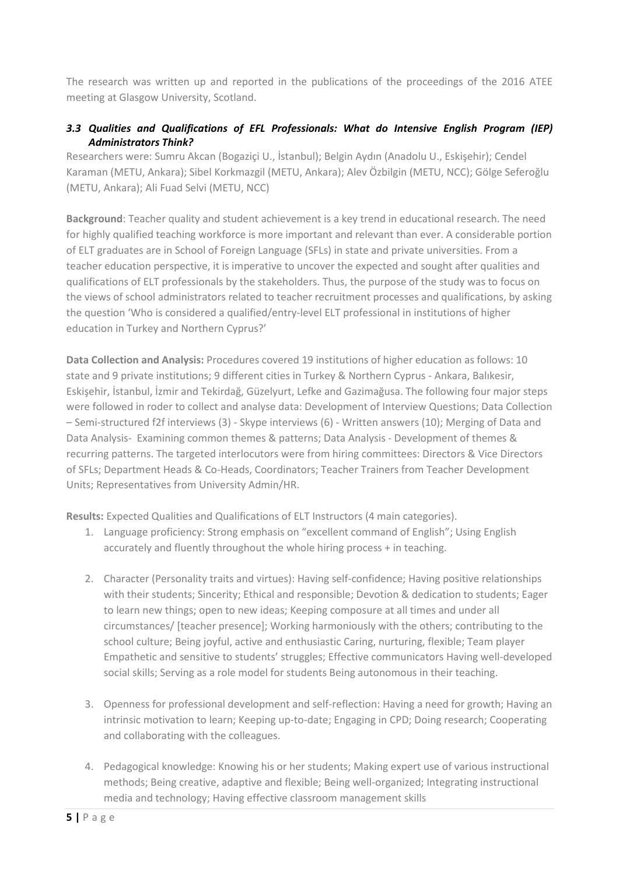The research was written up and reported in the publications of the proceedings of the 2016 ATEE meeting at Glasgow University, Scotland.

# *3.3 Qualities and Qualifications of EFL Professionals: What do Intensive English Program (IEP) Administrators Think?*

Researchers were: Sumru Akcan (Bogaziçi U., İstanbul); Belgin Aydın (Anadolu U., Eskişehir); Cendel Karaman (METU, Ankara); Sibel Korkmazgil (METU, Ankara); Alev Özbilgin (METU, NCC); Gölge Seferoğlu (METU, Ankara); Ali Fuad Selvi (METU, NCC)

**Background**: Teacher quality and student achievement is a key trend in educational research. The need for highly qualified teaching workforce is more important and relevant than ever. A considerable portion of ELT graduates are in School of Foreign Language (SFLs) in state and private universities. From a teacher education perspective, it is imperative to uncover the expected and sought after qualities and qualifications of ELT professionals by the stakeholders. Thus, the purpose of the study was to focus on the views of school administrators related to teacher recruitment processes and qualifications, by asking the question 'Who is considered a qualified/entry-level ELT professional in institutions of higher education in Turkey and Northern Cyprus?'

**Data Collection and Analysis:** Procedures covered 19 institutions of higher education as follows: 10 state and 9 private institutions; 9 different cities in Turkey & Northern Cyprus - Ankara, Balıkesir, Eskişehir, İstanbul, İzmir and Tekirdağ, Güzelyurt, Lefke and Gazimağusa. The following four major steps were followed in roder to collect and analyse data: Development of Interview Questions; Data Collection – Semi-structured f2f interviews (3) - Skype interviews (6) - Written answers (10); Merging of Data and Data Analysis- Examining common themes & patterns; Data Analysis - Development of themes & recurring patterns. The targeted interlocutors were from hiring committees: Directors & Vice Directors of SFLs; Department Heads & Co-Heads, Coordinators; Teacher Trainers from Teacher Development Units; Representatives from University Admin/HR.

**Results:** Expected Qualities and Qualifications of ELT Instructors (4 main categories).

- 1. Language proficiency: Strong emphasis on "excellent command of English"; Using English accurately and fluently throughout the whole hiring process + in teaching.
- 2. Character (Personality traits and virtues): Having self-confidence; Having positive relationships with their students; Sincerity; Ethical and responsible; Devotion & dedication to students; Eager to learn new things; open to new ideas; Keeping composure at all times and under all circumstances/ [teacher presence]; Working harmoniously with the others; contributing to the school culture; Being joyful, active and enthusiastic Caring, nurturing, flexible; Team player Empathetic and sensitive to students' struggles; Effective communicators Having well-developed social skills; Serving as a role model for students Being autonomous in their teaching.
- 3. Openness for professional development and self-reflection: Having a need for growth; Having an intrinsic motivation to learn; Keeping up-to-date; Engaging in CPD; Doing research; Cooperating and collaborating with the colleagues.
- 4. Pedagogical knowledge: Knowing his or her students; Making expert use of various instructional methods; Being creative, adaptive and flexible; Being well-organized; Integrating instructional media and technology; Having effective classroom management skills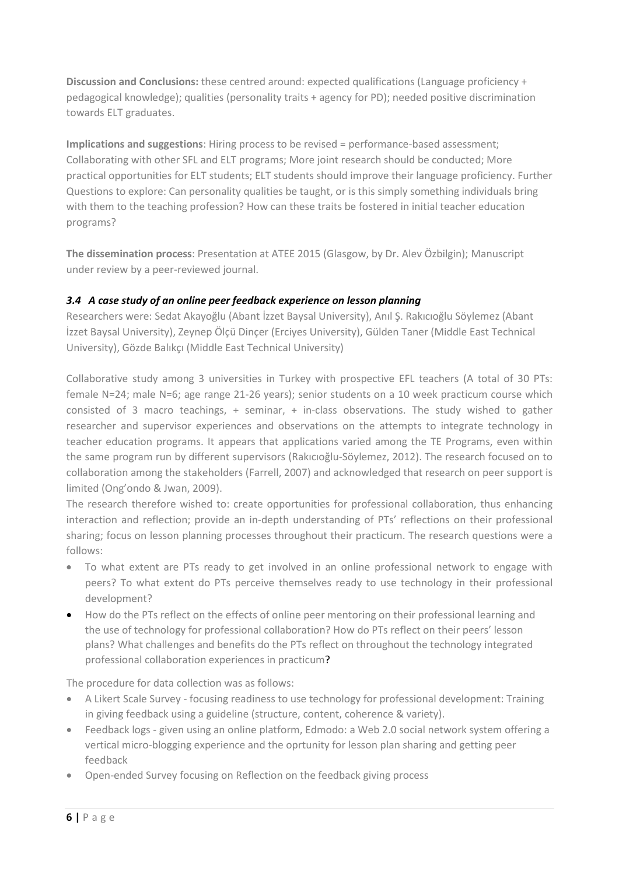**Discussion and Conclusions:** these centred around: expected qualifications (Language proficiency + pedagogical knowledge); qualities (personality traits + agency for PD); needed positive discrimination towards ELT graduates.

**Implications and suggestions**: Hiring process to be revised = performance-based assessment; Collaborating with other SFL and ELT programs; More joint research should be conducted; More practical opportunities for ELT students; ELT students should improve their language proficiency. Further Questions to explore: Can personality qualities be taught, or is this simply something individuals bring with them to the teaching profession? How can these traits be fostered in initial teacher education programs?

**The dissemination process**: Presentation at ATEE 2015 (Glasgow, by Dr. Alev Özbilgin); Manuscript under review by a peer-reviewed journal.

# *3.4 A case study of an online peer feedback experience on lesson planning*

Researchers were: Sedat Akayoğlu (Abant İzzet Baysal University), Anıl Ş. Rakıcıoğlu Söylemez (Abant İzzet Baysal University), Zeynep Ölçü Dinçer (Erciyes University), Gülden Taner (Middle East Technical University), Gözde Balıkçı (Middle East Technical University)

Collaborative study among 3 universities in Turkey with prospective EFL teachers (A total of 30 PTs: female N=24; male N=6; age range 21-26 years); senior students on a 10 week practicum course which consisted of 3 macro teachings, + seminar, + in-class observations. The study wished to gather researcher and supervisor experiences and observations on the attempts to integrate technology in teacher education programs. It appears that applications varied among the TE Programs, even within the same program run by different supervisors (Rakıcıoğlu-Söylemez, 2012). The research focused on to collaboration among the stakeholders (Farrell, 2007) and acknowledged that research on peer support is limited (Ong'ondo & Jwan, 2009).

The research therefore wished to: create opportunities for professional collaboration, thus enhancing interaction and reflection; provide an in-depth understanding of PTs' reflections on their professional sharing; focus on lesson planning processes throughout their practicum. The research questions were a follows:

- To what extent are PTs ready to get involved in an online professional network to engage with peers? To what extent do PTs perceive themselves ready to use technology in their professional development?
- How do the PTs reflect on the effects of online peer mentoring on their professional learning and the use of technology for professional collaboration? How do PTs reflect on their peers' lesson plans? What challenges and benefits do the PTs reflect on throughout the technology integrated professional collaboration experiences in practicum?

The procedure for data collection was as follows:

- A Likert Scale Survey focusing readiness to use technology for professional development: Training in giving feedback using a guideline (structure, content, coherence & variety).
- Feedback logs given using an online platform, Edmodo: a Web 2.0 social network system offering a vertical micro-blogging experience and the oprtunity for lesson plan sharing and getting peer feedback
- Open-ended Survey focusing on Reflection on the feedback giving process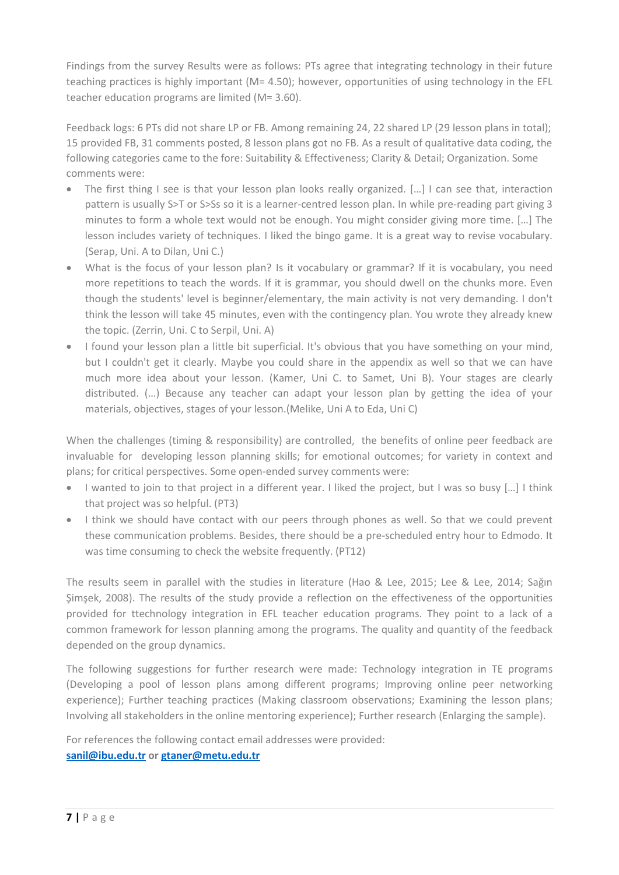Findings from the survey Results were as follows: PTs agree that integrating technology in their future teaching practices is highly important (M= 4.50); however, opportunities of using technology in the EFL teacher education programs are limited (M= 3.60).

Feedback logs: 6 PTs did not share LP or FB. Among remaining 24, 22 shared LP (29 lesson plans in total); 15 provided FB, 31 comments posted, 8 lesson plans got no FB. As a result of qualitative data coding, the following categories came to the fore: Suitability & Effectiveness; Clarity & Detail; Organization. Some comments were:

- The first thing I see is that your lesson plan looks really organized. [...] I can see that, interaction pattern is usually S>T or S>Ss so it is a learner-centred lesson plan. In while pre-reading part giving 3 minutes to form a whole text would not be enough. You might consider giving more time. […] The lesson includes variety of techniques. I liked the bingo game. It is a great way to revise vocabulary. (Serap, Uni. A to Dilan, Uni C.)
- What is the focus of your lesson plan? Is it vocabulary or grammar? If it is vocabulary, you need more repetitions to teach the words. If it is grammar, you should dwell on the chunks more. Even though the students' level is beginner/elementary, the main activity is not very demanding. I don't think the lesson will take 45 minutes, even with the contingency plan. You wrote they already knew the topic. (Zerrin, Uni. C to Serpil, Uni. A)
- I found your lesson plan a little bit superficial. It's obvious that you have something on your mind, but I couldn't get it clearly. Maybe you could share in the appendix as well so that we can have much more idea about your lesson. (Kamer, Uni C. to Samet, Uni B). Your stages are clearly distributed. (…) Because any teacher can adapt your lesson plan by getting the idea of your materials, objectives, stages of your lesson.(Melike, Uni A to Eda, Uni C)

When the challenges (timing & responsibility) are controlled, the benefits of online peer feedback are invaluable for developing lesson planning skills; for emotional outcomes; for variety in context and plans; for critical perspectives. Some open-ended survey comments were:

- I wanted to join to that project in a different year. I liked the project, but I was so busy [...] I think that project was so helpful. (PT3)
- I think we should have contact with our peers through phones as well. So that we could prevent these communication problems. Besides, there should be a pre-scheduled entry hour to Edmodo. It was time consuming to check the website frequently. (PT12)

The results seem in parallel with the studies in literature (Hao & Lee, 2015; Lee & Lee, 2014; Sağın Şimşek, 2008). The results of the study provide a reflection on the effectiveness of the opportunities provided for ttechnology integration in EFL teacher education programs. They point to a lack of a common framework for lesson planning among the programs. The quality and quantity of the feedback depended on the group dynamics.

The following suggestions for further research were made: Technology integration in TE programs (Developing a pool of lesson plans among different programs; Improving online peer networking experience); Further teaching practices (Making classroom observations; Examining the lesson plans; Involving all stakeholders in the online mentoring experience); Further research (Enlarging the sample).

For references the following contact email addresses were provided:

# **[sanil@ibu.edu.tr](mailto:sanil@ibu.edu.tr) or [gtaner@metu.edu.tr](mailto:gtaner@metu.edu.tr)**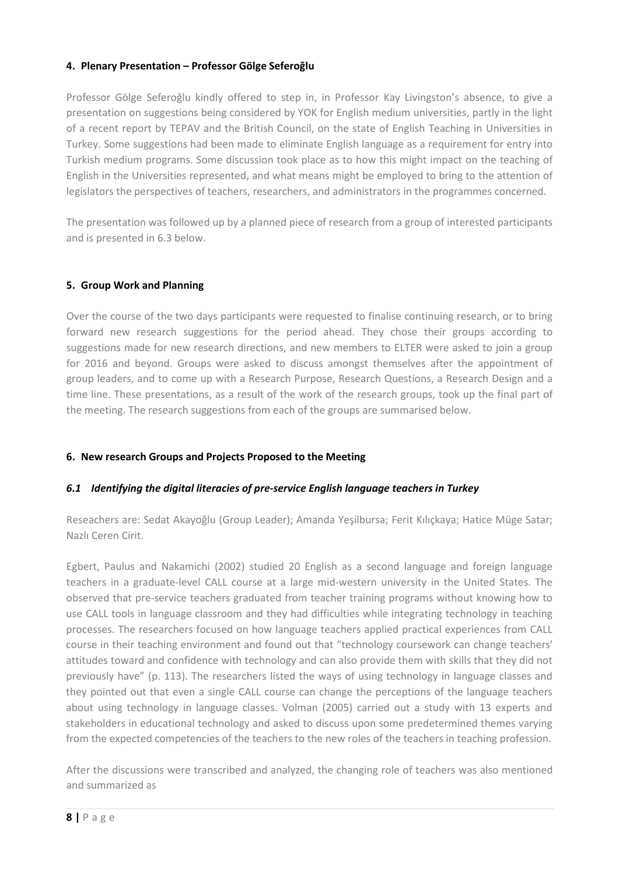### **4. Plenary Presentation – Professor Gölge Seferoğlu**

Professor Gölge Seferoğlu kindly offered to step in, in Professor Kay Livingston's absence, to give a presentation on suggestions being considered by YOK for English medium universities, partly in the light of a recent report by TEPAV and the British Council, on the state of English Teaching in Universities in Turkey. Some suggestions had been made to eliminate English language as a requirement for entry into Turkish medium programs. Some discussion took place as to how this might impact on the teaching of English in the Universities represented, and what means might be employed to bring to the attention of legislators the perspectives of teachers, researchers, and administrators in the programmes concerned.

The presentation was followed up by a planned piece of research from a group of interested participants and is presented in 6.3 below.

### **5. Group Work and Planning**

Over the course of the two days participants were requested to finalise continuing research, or to bring forward new research suggestions for the period ahead. They chose their groups according to suggestions made for new research directions, and new members to ELTER were asked to join a group for 2016 and beyond. Groups were asked to discuss amongst themselves after the appointment of group leaders, and to come up with a Research Purpose, Research Questions, a Research Design and a time line. These presentations, as a result of the work of the research groups, took up the final part of the meeting. The research suggestions from each of the groups are summarised below.

# **6. New research Groups and Projects Proposed to the Meeting**

# *6.1 Identifying the digital literacies of pre-service English language teachers in Turkey*

Reseachers are: Sedat Akayoğlu (Group Leader); Amanda Yeşilbursa; Ferit Kılıçkaya; Hatice Müge Satar; Nazlı Ceren Cirit.

Egbert, Paulus and Nakamichi (2002) studied 20 English as a second language and foreign language teachers in a graduate-level CALL course at a large mid-western university in the United States. The observed that pre-service teachers graduated from teacher training programs without knowing how to use CALL tools in language classroom and they had difficulties while integrating technology in teaching processes. The researchers focused on how language teachers applied practical experiences from CALL course in their teaching environment and found out that "technology coursework can change teachers' attitudes toward and confidence with technology and can also provide them with skills that they did not previously have" (p. 113). The researchers listed the ways of using technology in language classes and they pointed out that even a single CALL course can change the perceptions of the language teachers about using technology in language classes. Volman (2005) carried out a study with 13 experts and stakeholders in educational technology and asked to discuss upon some predetermined themes varying from the expected competencies of the teachers to the new roles of the teachers in teaching profession.

After the discussions were transcribed and analyzed, the changing role of teachers was also mentioned and summarized as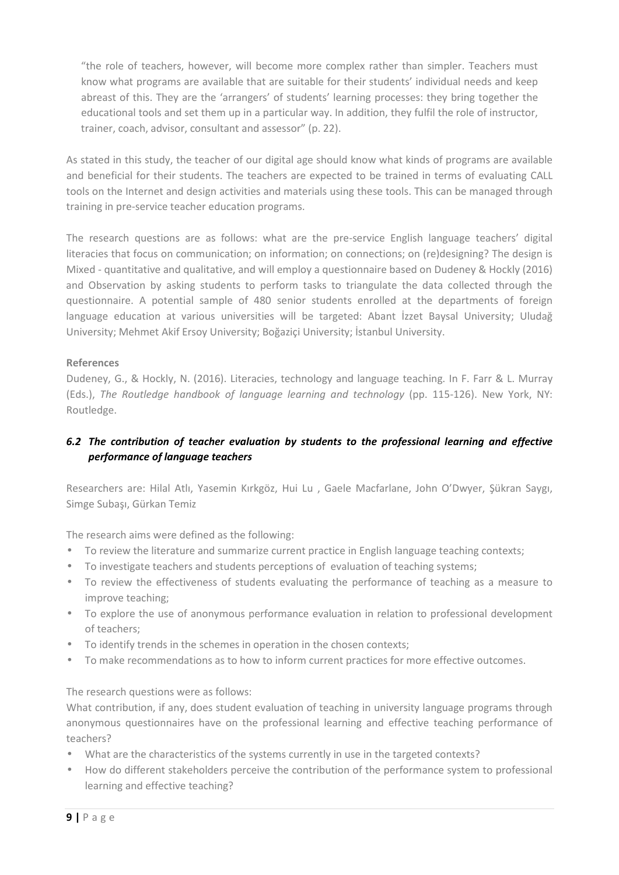"the role of teachers, however, will become more complex rather than simpler. Teachers must know what programs are available that are suitable for their students' individual needs and keep abreast of this. They are the 'arrangers' of students' learning processes: they bring together the educational tools and set them up in a particular way. In addition, they fulfil the role of instructor, trainer, coach, advisor, consultant and assessor" (p. 22).

As stated in this study, the teacher of our digital age should know what kinds of programs are available and beneficial for their students. The teachers are expected to be trained in terms of evaluating CALL tools on the Internet and design activities and materials using these tools. This can be managed through training in pre-service teacher education programs.

The research questions are as follows: what are the pre-service English language teachers' digital literacies that focus on communication; on information; on connections; on (re)designing? The design is Mixed - quantitative and qualitative, and will employ a questionnaire based on Dudeney & Hockly (2016) and Observation by asking students to perform tasks to triangulate the data collected through the questionnaire. A potential sample of 480 senior students enrolled at the departments of foreign language education at various universities will be targeted: Abant İzzet Baysal University; Uludağ University; Mehmet Akif Ersoy University; Boğaziçi University; İstanbul University.

# **References**

Dudeney, G., & Hockly, N. (2016). Literacies, technology and language teaching. In F. Farr & L. Murray (Eds.), *The Routledge handbook of language learning and technology* (pp. 115-126). New York, NY: Routledge.

# *6.2 The contribution of teacher evaluation by students to the professional learning and effective performance of language teachers*

Researchers are: Hilal Atlı, Yasemin Kırkgöz, Hui Lu , Gaele Macfarlane, John O'Dwyer, Şükran Saygı, Simge Subaşı, Gürkan Temiz

The research aims were defined as the following:

- To review the literature and summarize current practice in English language teaching contexts;
- To investigate teachers and students perceptions of evaluation of teaching systems;
- To review the effectiveness of students evaluating the performance of teaching as a measure to improve teaching;
- To explore the use of anonymous performance evaluation in relation to professional development of teachers;
- To identify trends in the schemes in operation in the chosen contexts;
- To make recommendations as to how to inform current practices for more effective outcomes.

### The research questions were as follows:

What contribution, if any, does student evaluation of teaching in university language programs through anonymous questionnaires have on the professional learning and effective teaching performance of teachers?

- What are the characteristics of the systems currently in use in the targeted contexts?
- How do different stakeholders perceive the contribution of the performance system to professional learning and effective teaching?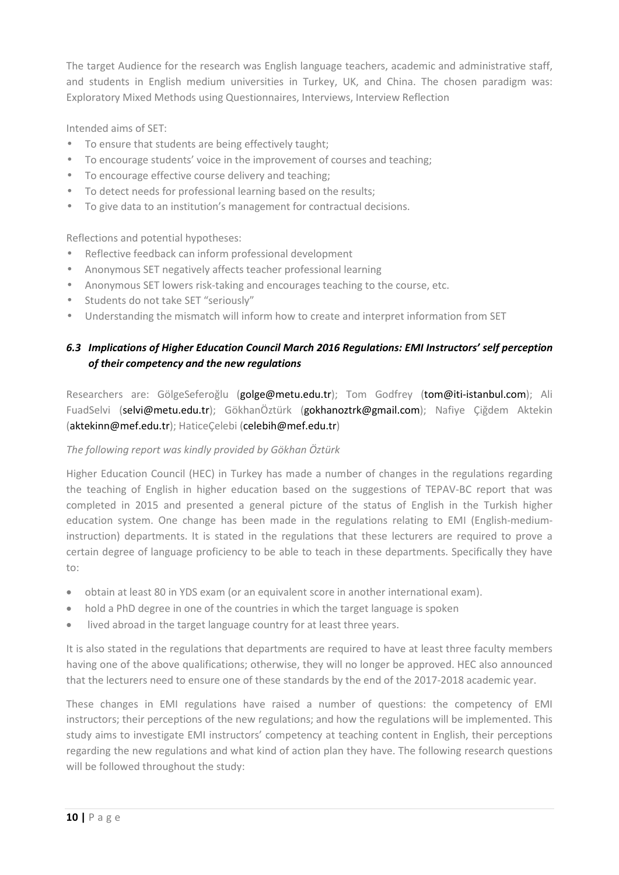The target Audience for the research was English language teachers, academic and administrative staff, and students in English medium universities in Turkey, UK, and China. The chosen paradigm was: Exploratory Mixed Methods using Questionnaires, Interviews, Interview Reflection

Intended aims of SET:

- To ensure that students are being effectively taught;
- To encourage students' voice in the improvement of courses and teaching;
- To encourage effective course delivery and teaching;
- To detect needs for professional learning based on the results;
- To give data to an institution's management for contractual decisions.

Reflections and potential hypotheses:

- Reflective feedback can inform professional development
- Anonymous SET negatively affects teacher professional learning
- Anonymous SET lowers risk-taking and encourages teaching to the course, etc.
- Students do not take SET "seriously"
- Understanding the mismatch will inform how to create and interpret information from SET

# *6.3 Implications of Higher Education Council March 2016 Regulations: EMI Instructors' self perception of their competency and the new regulations*

Researchers are: GölgeSeferoğlu (golge@metu.edu.tr); Tom Godfrey (tom@iti-istanbul.com); Ali FuadSelvi (selvi@metu.edu.tr); GökhanÖztürk (gokhanoztrk@gmail.com); Nafiye Çiğdem Aktekin (aktekinn@mef.edu.tr); HaticeÇelebi (celebih@mef.edu.tr)

### *The following report was kindly provided by Gökhan Öztürk*

Higher Education Council (HEC) in Turkey has made a number of changes in the regulations regarding the teaching of English in higher education based on the suggestions of TEPAV-BC report that was completed in 2015 and presented a general picture of the status of English in the Turkish higher education system. One change has been made in the regulations relating to EMI (English-mediuminstruction) departments. It is stated in the regulations that these lecturers are required to prove a certain degree of language proficiency to be able to teach in these departments. Specifically they have to:

- obtain at least 80 in YDS exam (or an equivalent score in another international exam).
- hold a PhD degree in one of the countries in which the target language is spoken
- lived abroad in the target language country for at least three years.

It is also stated in the regulations that departments are required to have at least three faculty members having one of the above qualifications; otherwise, they will no longer be approved. HEC also announced that the lecturers need to ensure one of these standards by the end of the 2017-2018 academic year.

These changes in EMI regulations have raised a number of questions: the competency of EMI instructors; their perceptions of the new regulations; and how the regulations will be implemented. This study aims to investigate EMI instructors' competency at teaching content in English, their perceptions regarding the new regulations and what kind of action plan they have. The following research questions will be followed throughout the study: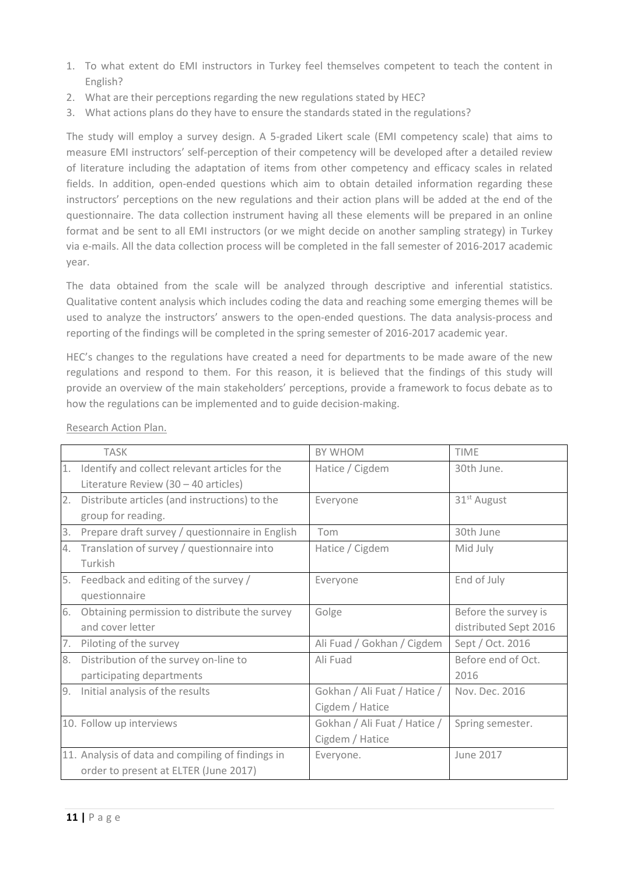- 1. To what extent do EMI instructors in Turkey feel themselves competent to teach the content in English?
- 2. What are their perceptions regarding the new regulations stated by HEC?
- 3. What actions plans do they have to ensure the standards stated in the regulations?

The study will employ a survey design. A 5-graded Likert scale (EMI competency scale) that aims to measure EMI instructors' self-perception of their competency will be developed after a detailed review of literature including the adaptation of items from other competency and efficacy scales in related fields. In addition, open-ended questions which aim to obtain detailed information regarding these instructors' perceptions on the new regulations and their action plans will be added at the end of the questionnaire. The data collection instrument having all these elements will be prepared in an online format and be sent to all EMI instructors (or we might decide on another sampling strategy) in Turkey via e-mails. All the data collection process will be completed in the fall semester of 2016-2017 academic year.

The data obtained from the scale will be analyzed through descriptive and inferential statistics. Qualitative content analysis which includes coding the data and reaching some emerging themes will be used to analyze the instructors' answers to the open-ended questions. The data analysis-process and reporting of the findings will be completed in the spring semester of 2016-2017 academic year.

HEC's changes to the regulations have created a need for departments to be made aware of the new regulations and respond to them. For this reason, it is believed that the findings of this study will provide an overview of the main stakeholders' perceptions, provide a framework to focus debate as to how the regulations can be implemented and to guide decision-making.

|    | <b>TASK</b>                                       | <b>BY WHOM</b>               | <b>TIME</b>             |
|----|---------------------------------------------------|------------------------------|-------------------------|
| 1. | Identify and collect relevant articles for the    | Hatice / Cigdem              | 30th June.              |
|    | Literature Review $(30 - 40$ articles)            |                              |                         |
| 2. | Distribute articles (and instructions) to the     | Everyone                     | 31 <sup>st</sup> August |
|    | group for reading.                                |                              |                         |
| 3. | Prepare draft survey / questionnaire in English   | Tom                          | 30th June               |
| 4. | Translation of survey / questionnaire into        | Hatice / Cigdem              | Mid July                |
|    | Turkish                                           |                              |                         |
| 5. | Feedback and editing of the survey /              | Everyone                     | End of July             |
|    | questionnaire                                     |                              |                         |
| 6. | Obtaining permission to distribute the survey     | Golge                        | Before the survey is    |
|    | and cover letter                                  |                              | distributed Sept 2016   |
| 7. | Piloting of the survey                            | Ali Fuad / Gokhan / Cigdem   | Sept / Oct. 2016        |
| 8. | Distribution of the survey on-line to             | Ali Fuad                     | Before end of Oct.      |
|    | participating departments                         |                              | 2016                    |
| 9. | Initial analysis of the results                   | Gokhan / Ali Fuat / Hatice / | Nov. Dec. 2016          |
|    |                                                   | Cigdem / Hatice              |                         |
|    | 10. Follow up interviews                          | Gokhan / Ali Fuat / Hatice / | Spring semester.        |
|    |                                                   | Cigdem / Hatice              |                         |
|    | 11. Analysis of data and compiling of findings in | Everyone.                    | <b>June 2017</b>        |
|    | order to present at ELTER (June 2017)             |                              |                         |

Research Action Plan.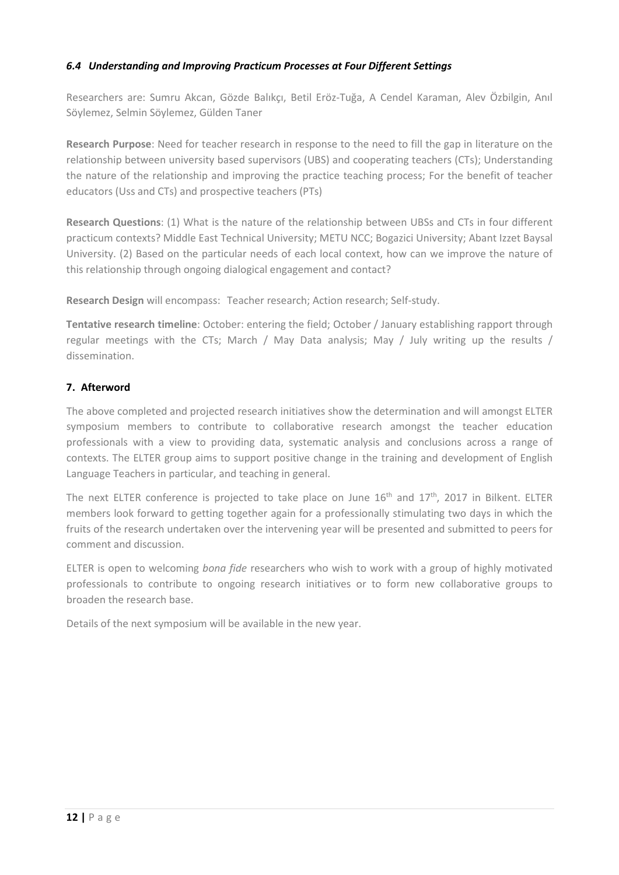### *6.4 Understanding and Improving Practicum Processes at Four Different Settings*

Researchers are: Sumru Akcan, Gözde Balıkçı, Betil Eröz-Tuğa, A Cendel Karaman, Alev Özbilgin, Anıl Söylemez, Selmin Söylemez, Gülden Taner

**Research Purpose**: Need for teacher research in response to the need to fill the gap in literature on the relationship between university based supervisors (UBS) and cooperating teachers (CTs); Understanding the nature of the relationship and improving the practice teaching process; For the benefit of teacher educators (Uss and CTs) and prospective teachers (PTs)

**Research Questions**: (1) What is the nature of the relationship between UBSs and CTs in four different practicum contexts? Middle East Technical University; METU NCC; Bogazici University; Abant Izzet Baysal University. (2) Based on the particular needs of each local context, how can we improve the nature of this relationship through ongoing dialogical engagement and contact?

**Research Design** will encompass: Teacher research; Action research; Self-study.

**Tentative research timeline**: October: entering the field; October / January establishing rapport through regular meetings with the CTs; March / May Data analysis; May / July writing up the results / dissemination.

### **7. Afterword**

The above completed and projected research initiatives show the determination and will amongst ELTER symposium members to contribute to collaborative research amongst the teacher education professionals with a view to providing data, systematic analysis and conclusions across a range of contexts. The ELTER group aims to support positive change in the training and development of English Language Teachers in particular, and teaching in general.

The next ELTER conference is projected to take place on June  $16<sup>th</sup>$  and  $17<sup>th</sup>$ , 2017 in Bilkent. ELTER members look forward to getting together again for a professionally stimulating two days in which the fruits of the research undertaken over the intervening year will be presented and submitted to peers for comment and discussion.

ELTER is open to welcoming *bona fide* researchers who wish to work with a group of highly motivated professionals to contribute to ongoing research initiatives or to form new collaborative groups to broaden the research base.

Details of the next symposium will be available in the new year.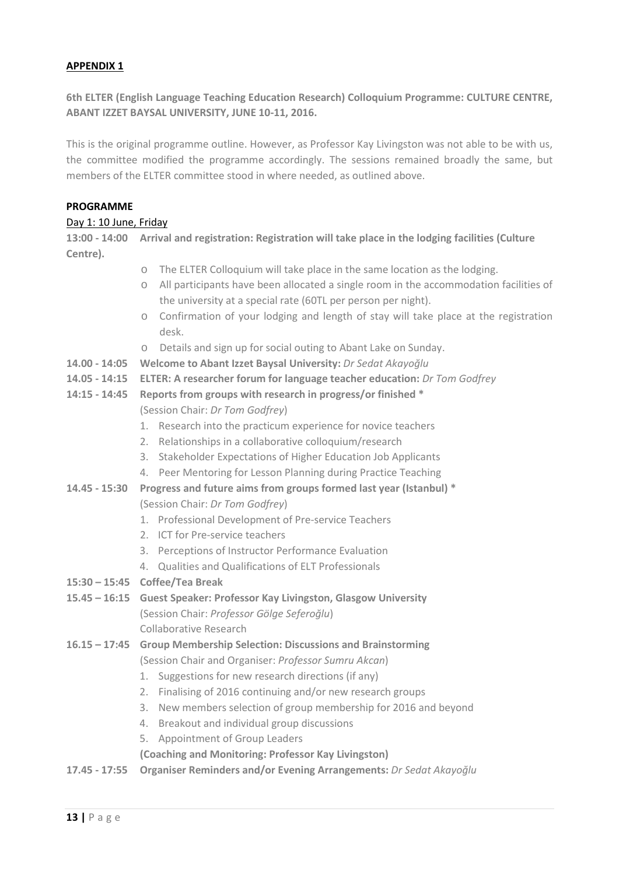#### **APPENDIX 1**

**6th ELTER (English Language Teaching Education Research) Colloquium Programme: CULTURE CENTRE, ABANT IZZET BAYSAL UNIVERSITY, JUNE 10-11, 2016.**

This is the original programme outline. However, as Professor Kay Livingston was not able to be with us, the committee modified the programme accordingly. The sessions remained broadly the same, but members of the ELTER committee stood in where needed, as outlined above.

#### **PROGRAMME**

#### Day 1: 10 June, Friday

**13:00 - 14:00 Arrival and registration: Registration will take place in the lodging facilities (Culture Centre).** 

- o The ELTER Colloquium will take place in the same location as the lodging.
- o All participants have been allocated a single room in the accommodation facilities of the university at a special rate (60TL per person per night).
- o Confirmation of your lodging and length of stay will take place at the registration desk.
- o Details and sign up for social outing to Abant Lake on Sunday.
- **14.00 - 14:05 Welcome to Abant Izzet Baysal University:** *Dr Sedat Akayoğlu*
- **14.05 - 14:15 ELTER: A researcher forum for language teacher education:** *Dr Tom Godfrey*
- **14:15 - 14:45 Reports from groups with research in progress/or finished \***

(Session Chair: *Dr Tom Godfrey*)

- 1. Research into the practicum experience for novice teachers
- 2. Relationships in a collaborative colloquium/research
- 3. Stakeholder Expectations of Higher Education Job Applicants
- 4. Peer Mentoring for Lesson Planning during Practice Teaching
- **14.45 - 15:30 Progress and future aims from groups formed last year (Istanbul) \*** (Session Chair: *Dr Tom Godfrey*)
	- 1. Professional Development of Pre-service Teachers
	- 2. ICT for Pre-service teachers
	- 3. Perceptions of Instructor Performance Evaluation
	- 4. Qualities and Qualifications of ELT Professionals
- **15:30 – 15:45 Coffee/Tea Break**
- **15.45 – 16:15 Guest Speaker: Professor Kay Livingston, Glasgow University** (Session Chair: *Professor Gölge Seferoğlu*) Collaborative Research
- **16.15 – 17:45 Group Membership Selection: Discussions and Brainstorming** (Session Chair and Organiser: *Professor Sumru Akcan*)
	- 1. Suggestions for new research directions (if any)
	- 2. Finalising of 2016 continuing and/or new research groups
	- 3. New members selection of group membership for 2016 and beyond
	- 4. Breakout and individual group discussions
	- 5. Appointment of Group Leaders

**(Coaching and Monitoring: Professor Kay Livingston)**

**17.45 - 17:55 Organiser Reminders and/or Evening Arrangements:** *Dr Sedat Akayoğlu*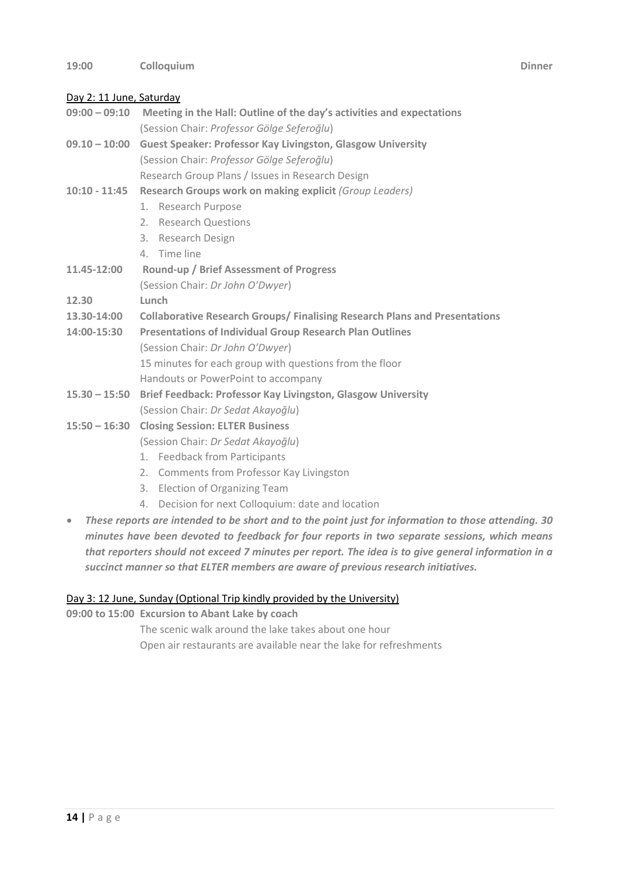# Day 2: 11 June, Saturday

- **09:00 – 09:10 Meeting in the Hall: Outline of the day's activities and expectations**  (Session Chair: *Professor Gölge Seferoğlu*)
- **09.10 – 10:00 Guest Speaker: Professor Kay Livingston, Glasgow University** (Session Chair: *Professor Gölge Seferoğlu*) Research Group Plans / Issues in Research Design
- **10:10 - 11:45 Research Groups work on making explicit** *(Group Leaders)*
	- 1. Research Purpose
	- 2. Research Questions
	- 3. Research Design
	- 4. Time line
- **11.45-12:00 Round-up / Brief Assessment of Progress** (Session Chair: *Dr John O'Dwyer*)
- **12.30 Lunch**
- **13.30-14:00 Collaborative Research Groups/ Finalising Research Plans and Presentations**
- **14:00-15:30 Presentations of Individual Group Research Plan Outlines**  (Session Chair: *Dr John O'Dwyer*) 15 minutes for each group with questions from the floor
	- Handouts or PowerPoint to accompany
- **15.30 – 15:50 Brief Feedback: Professor Kay Livingston, Glasgow University** (Session Chair: *Dr Sedat Akayoğlu*)
- **15:50 – 16:30 Closing Session: ELTER Business**
	- (Session Chair: *Dr Sedat Akayoğlu*)
		- 1. Feedback from Participants
		- 2. Comments from Professor Kay Livingston
		- 3. Election of Organizing Team
		- 4. Decision for next Colloquium: date and location
- *These reports are intended to be short and to the point just for information to those attending. 30 minutes have been devoted to feedback for four reports in two separate sessions, which means that reporters should not exceed 7 minutes per report. The idea is to give general information in a succinct manner so that ELTER members are aware of previous research initiatives.*

### Day 3: 12 June, Sunday (Optional Trip kindly provided by the University)

**09:00 to 15:00 Excursion to Abant Lake by coach**

The scenic walk around the lake takes about one hour

Open air restaurants are available near the lake for refreshments